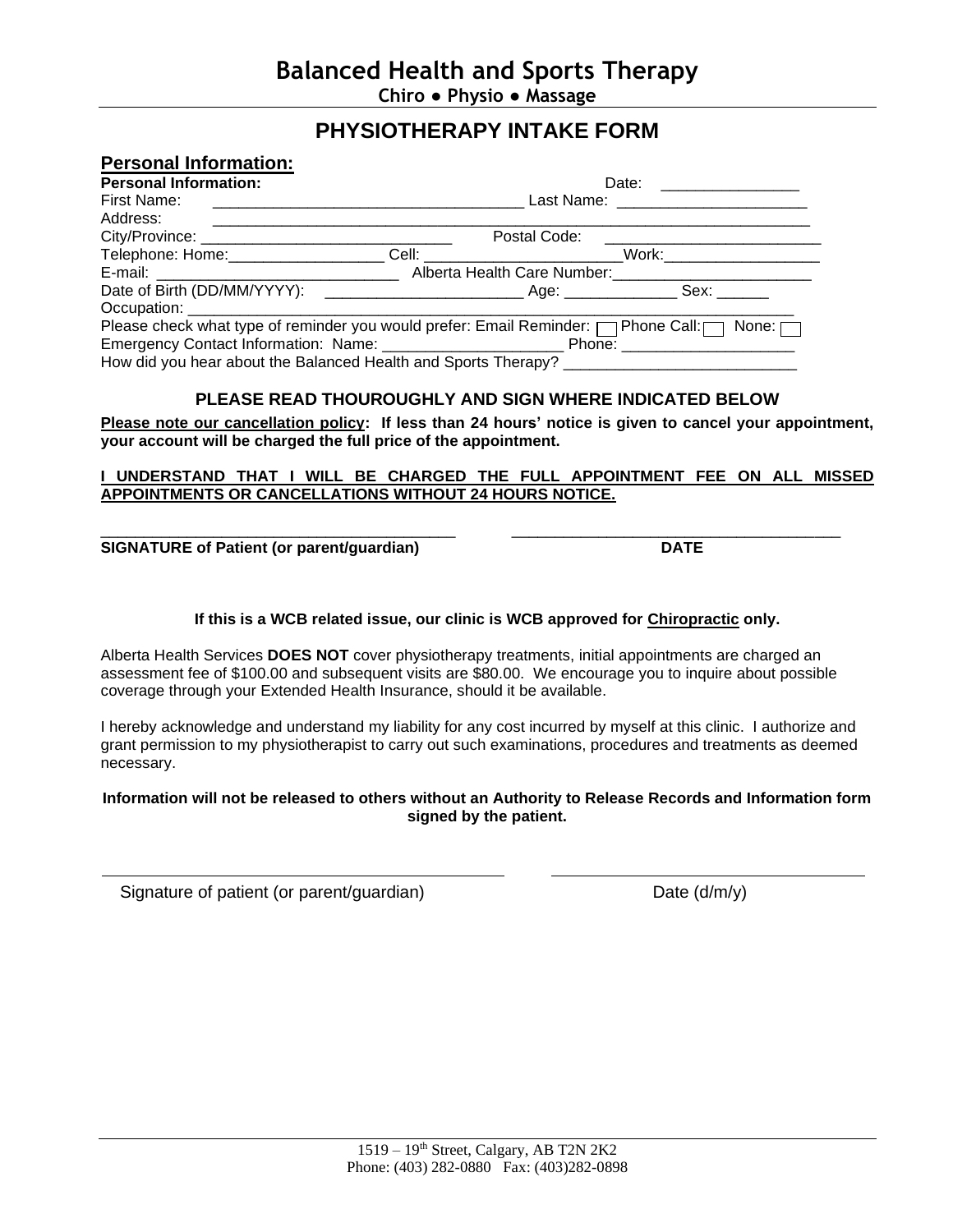# **PHYSIOTHERAPY INTAKE FORM**

| <b>Personal Information:</b>                                                                         |  |              |  |  |
|------------------------------------------------------------------------------------------------------|--|--------------|--|--|
| <b>Personal Information:</b>                                                                         |  |              |  |  |
| First Name:                                                                                          |  |              |  |  |
| Address:                                                                                             |  |              |  |  |
|                                                                                                      |  | Postal Code: |  |  |
| Telephone: Home: ____________________Cell: _________________________Work: __________________________ |  |              |  |  |
|                                                                                                      |  |              |  |  |
|                                                                                                      |  |              |  |  |
|                                                                                                      |  |              |  |  |
| Please check what type of reminder you would prefer: Email Reminder: net phone Call: net None: net   |  |              |  |  |
|                                                                                                      |  |              |  |  |
|                                                                                                      |  |              |  |  |

## **PLEASE READ THOUROUGHLY AND SIGN WHERE INDICATED BELOW**

**Please note our cancellation policy: If less than 24 hours' notice is given to cancel your appointment, your account will be charged the full price of the appointment.**

### **I UNDERSTAND THAT I WILL BE CHARGED THE FULL APPOINTMENT FEE ON ALL MISSED APPOINTMENTS OR CANCELLATIONS WITHOUT 24 HOURS NOTICE.**

\_\_\_\_\_\_\_\_\_\_\_\_\_\_\_\_\_\_\_\_\_\_\_\_\_\_\_\_\_\_\_\_\_\_\_\_\_\_\_\_\_ \_\_\_\_\_\_\_\_\_\_\_\_\_\_\_\_\_\_\_\_\_\_\_\_\_\_\_\_\_\_\_\_\_\_\_\_\_\_ **SIGNATURE of Patient (or parent/guardian) DATE**

## **If this is a WCB related issue, our clinic is WCB approved for Chiropractic only.**

Alberta Health Services **DOES NOT** cover physiotherapy treatments, initial appointments are charged an assessment fee of \$100.00 and subsequent visits are \$80.00. We encourage you to inquire about possible coverage through your Extended Health Insurance, should it be available.

I hereby acknowledge and understand my liability for any cost incurred by myself at this clinic. I authorize and grant permission to my physiotherapist to carry out such examinations, procedures and treatments as deemed necessary.

### **Information will not be released to others without an Authority to Release Records and Information form signed by the patient.**

Signature of patient (or parent/guardian) Date (d/m/y)

 $\overline{a}$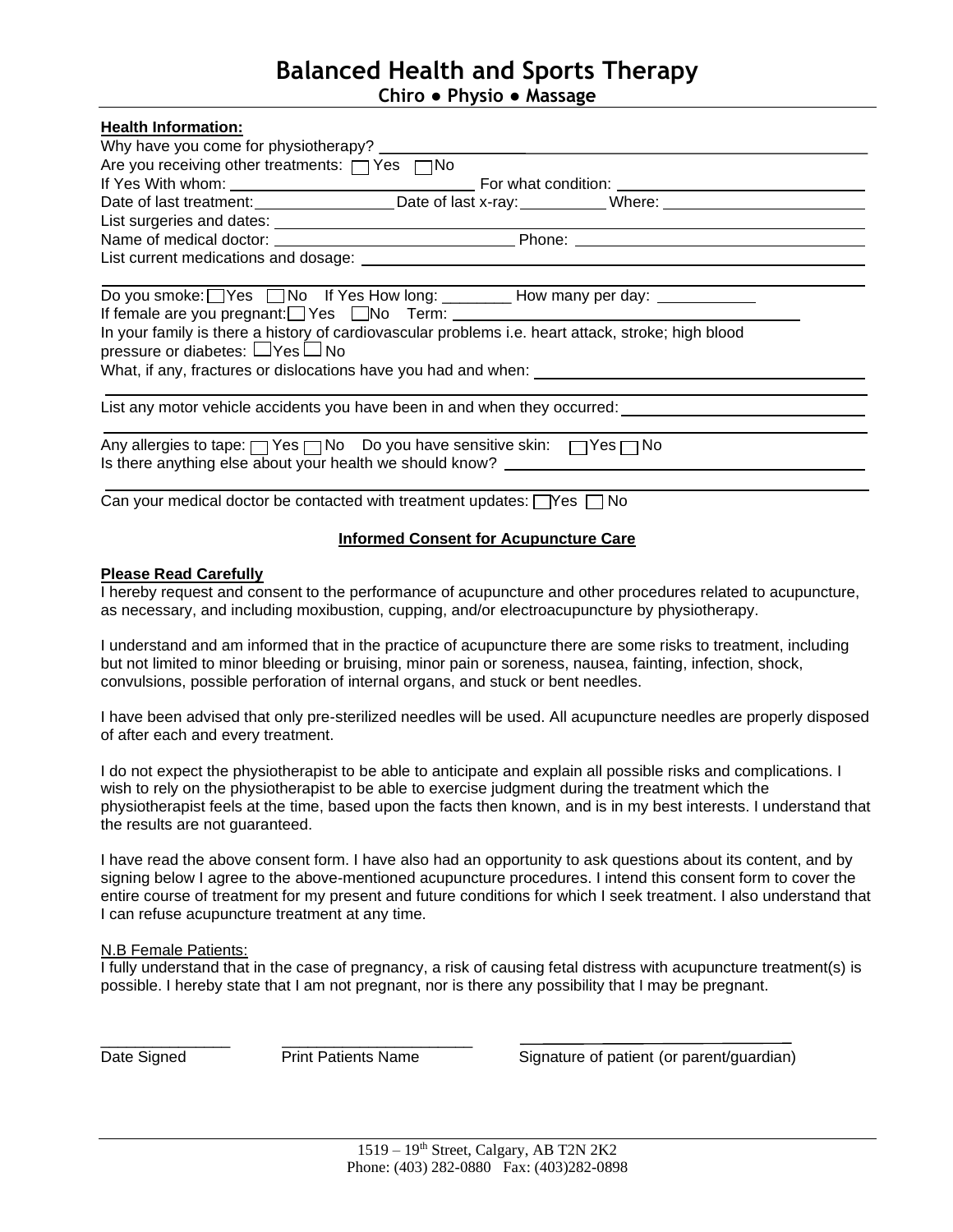## **Balanced Health and Sports Therapy Chiro ● Physio ● Massage**

| <b>Health Information:</b>                                                                                                                                    |  |  |  |  |
|---------------------------------------------------------------------------------------------------------------------------------------------------------------|--|--|--|--|
|                                                                                                                                                               |  |  |  |  |
| Are you receiving other treatments: □ Yes □ No                                                                                                                |  |  |  |  |
|                                                                                                                                                               |  |  |  |  |
| Date of last treatment:_____________________Date of last x-ray:____________Where: ___________________________                                                 |  |  |  |  |
|                                                                                                                                                               |  |  |  |  |
|                                                                                                                                                               |  |  |  |  |
|                                                                                                                                                               |  |  |  |  |
| Do you smoke: Yes No If Yes How long: ________ How many per day: _________                                                                                    |  |  |  |  |
|                                                                                                                                                               |  |  |  |  |
| In your family is there a history of cardiovascular problems i.e. heart attack, stroke; high blood<br>pressure or diabetes: □Yes□No                           |  |  |  |  |
|                                                                                                                                                               |  |  |  |  |
| List any motor vehicle accidents you have been in and when they occurred:                                                                                     |  |  |  |  |
| Any allergies to tape: net Yes no Do you have sensitive skin: net Yes no<br>Is there anything else about your health we should know? ________________________ |  |  |  |  |
| Can your medical doctor be contacted with treatment updates: $\Box$ Yes $\Box$ No                                                                             |  |  |  |  |

## **Informed Consent for Acupuncture Care**

#### **Please Read Carefully**

I hereby request and consent to the performance of acupuncture and other procedures related to acupuncture, as necessary, and including moxibustion, cupping, and/or electroacupuncture by physiotherapy.

I understand and am informed that in the practice of acupuncture there are some risks to treatment, including but not limited to minor bleeding or bruising, minor pain or soreness, nausea, fainting, infection, shock, convulsions, possible perforation of internal organs, and stuck or bent needles.

I have been advised that only pre-sterilized needles will be used. All acupuncture needles are properly disposed of after each and every treatment.

I do not expect the physiotherapist to be able to anticipate and explain all possible risks and complications. I wish to rely on the physiotherapist to be able to exercise judgment during the treatment which the physiotherapist feels at the time, based upon the facts then known, and is in my best interests. I understand that the results are not guaranteed.

I have read the above consent form. I have also had an opportunity to ask questions about its content, and by signing below I agree to the above-mentioned acupuncture procedures. I intend this consent form to cover the entire course of treatment for my present and future conditions for which I seek treatment. I also understand that I can refuse acupuncture treatment at any time.

#### N.B Female Patients:

I fully understand that in the case of pregnancy, a risk of causing fetal distress with acupuncture treatment(s) is possible. I hereby state that I am not pregnant, nor is there any possibility that I may be pregnant.

\_\_\_\_\_\_\_\_\_\_\_\_\_\_\_ \_\_\_\_\_\_\_\_\_\_\_\_\_\_\_\_\_\_\_\_\_\_

Date Signed **Print Patients Name** Signature of patient (or parent/guardian)